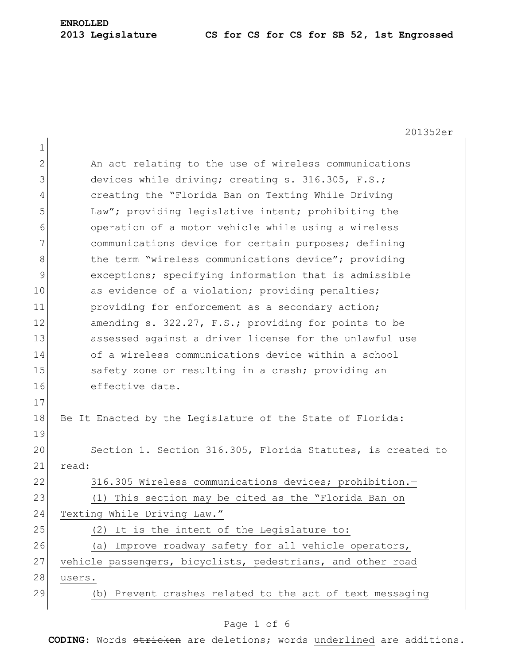201352er 1 2 An act relating to the use of wireless communications 3 devices while driving; creating s. 316.305, F.S.; 4 creating the "Florida Ban on Texting While Driving 5 Law"; providing legislative intent; prohibiting the 6 operation of a motor vehicle while using a wireless 7 communications device for certain purposes; defining 8 block the term "wireless communications device"; providing 9 exceptions; specifying information that is admissible 10 as evidence of a violation; providing penalties; 11 **providing for enforcement as a secondary action;** 12 amending s. 322.27, F.S.; providing for points to be 13 assessed against a driver license for the unlawful use 14 of a wireless communications device within a school 15 Safety zone or resulting in a crash; providing an 16 effective date. 17 18 Be It Enacted by the Legislature of the State of Florida: 19 20 Section 1. Section 316.305, Florida Statutes, is created to 21 read: 22 316.305 Wireless communications devices; prohibition.-23 (1) This section may be cited as the "Florida Ban on 24 Texting While Driving Law."  $25$  (2) It is the intent of the Legislature to: 26 (a) Improve roadway safety for all vehicle operators, 27 vehicle passengers, bicyclists, pedestrians, and other road 28 users. 29 (b) Prevent crashes related to the act of text messaging

#### Page 1 of 6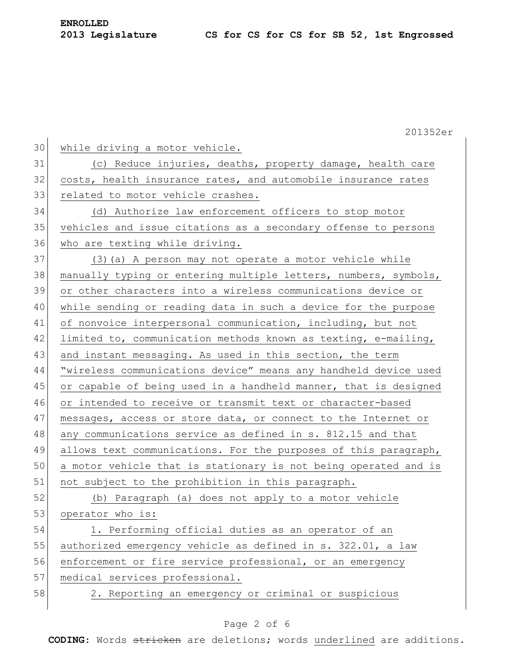**ENROLLED**

| 201352er                                                              |
|-----------------------------------------------------------------------|
| 30<br>while driving a motor vehicle.                                  |
| 31<br>(c) Reduce injuries, deaths, property damage, health care       |
| 32<br>costs, health insurance rates, and automobile insurance rates   |
| 33<br>related to motor vehicle crashes.                               |
| 34<br>(d) Authorize law enforcement officers to stop motor            |
| 35<br>vehicles and issue citations as a secondary offense to persons  |
| 36<br>who are texting while driving.                                  |
| 37<br>(3) (a) A person may not operate a motor vehicle while          |
| 38<br>manually typing or entering multiple letters, numbers, symbols, |
| 39<br>or other characters into a wireless communications device or    |
| while sending or reading data in such a device for the purpose        |
| 41<br>of nonvoice interpersonal communication, including, but not     |
| limited to, communication methods known as texting, e-mailing,        |
| and instant messaging. As used in this section, the term<br>43        |
| "wireless communications device" means any handheld device used<br>44 |
| 45<br>or capable of being used in a handheld manner, that is designed |
| 46<br>or intended to receive or transmit text or character-based      |
| messages, access or store data, or connect to the Internet or         |
| 48<br>any communications service as defined in s. 812.15 and that     |
| 49<br>allows text communications. For the purposes of this paragraph, |
| 50<br>a motor vehicle that is stationary is not being operated and is |
| 51<br>not subject to the prohibition in this paragraph.               |
| (b) Paragraph (a) does not apply to a motor vehicle                   |
| 53<br>operator who is:                                                |
| 1. Performing official duties as an operator of an                    |
| 55<br>authorized emergency vehicle as defined in s. 322.01, a law     |
| 56<br>enforcement or fire service professional, or an emergency       |
| 57<br>medical services professional.                                  |
| 58<br>2. Reporting an emergency or criminal or suspicious             |
|                                                                       |

# Page 2 of 6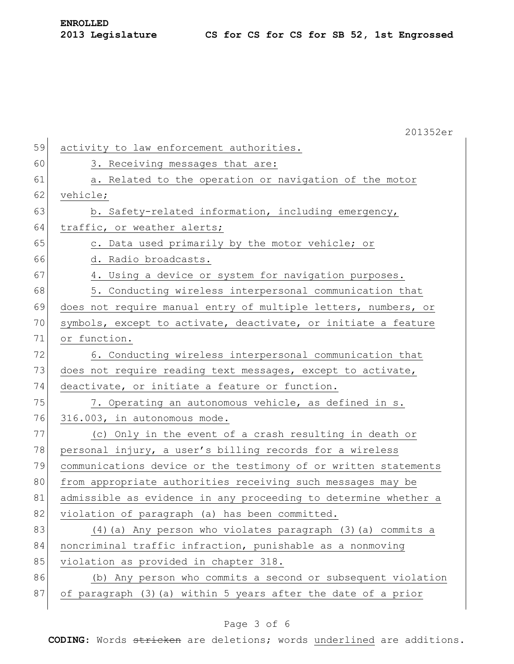|    | 201352er                                                        |
|----|-----------------------------------------------------------------|
| 59 | activity to law enforcement authorities.                        |
| 60 | 3. Receiving messages that are:                                 |
| 61 | a. Related to the operation or navigation of the motor          |
| 62 | vehicle;                                                        |
| 63 | b. Safety-related information, including emergency,             |
| 64 | traffic, or weather alerts;                                     |
| 65 | c. Data used primarily by the motor vehicle; or                 |
| 66 | d. Radio broadcasts.                                            |
| 67 | 4. Using a device or system for navigation purposes.            |
| 68 | 5. Conducting wireless interpersonal communication that         |
| 69 | does not require manual entry of multiple letters, numbers, or  |
| 70 | symbols, except to activate, deactivate, or initiate a feature  |
| 71 | or function.                                                    |
| 72 | 6. Conducting wireless interpersonal communication that         |
| 73 | does not require reading text messages, except to activate,     |
| 74 | deactivate, or initiate a feature or function.                  |
| 75 | 7. Operating an autonomous vehicle, as defined in s.            |
| 76 | 316.003, in autonomous mode.                                    |
| 77 | (c) Only in the event of a crash resulting in death or          |
| 78 | personal injury, a user's billing records for a wireless        |
| 79 | communications device or the testimony of or written statements |
| 80 | from appropriate authorities receiving such messages may be     |
| 81 | admissible as evidence in any proceeding to determine whether a |
| 82 | violation of paragraph (a) has been committed.                  |
| 83 | (4) (a) Any person who violates paragraph (3) (a) commits a     |
| 84 | noncriminal traffic infraction, punishable as a nonmoving       |
| 85 | violation as provided in chapter 318.                           |
| 86 | (b) Any person who commits a second or subsequent violation     |
| 87 | of paragraph (3) (a) within 5 years after the date of a prior   |
|    |                                                                 |

## Page 3 of 6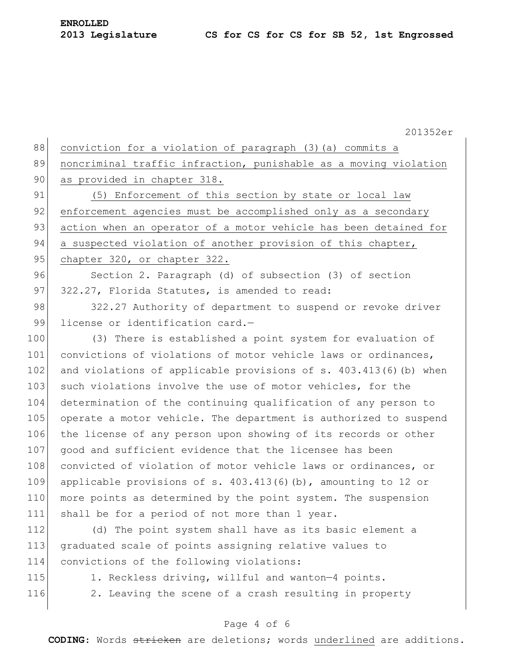201352er

88 conviction for a violation of paragraph (3) (a) commits a 89 noncriminal traffic infraction, punishable as a moving violation 90 as provided in chapter 318. 91 (5) Enforcement of this section by state or local law 92 enforcement agencies must be accomplished only as a secondary 93 action when an operator of a motor vehicle has been detained for 94 a suspected violation of another provision of this chapter, 95 chapter 320, or chapter 322. 96 Section 2. Paragraph (d) of subsection (3) of section 97 322.27, Florida Statutes, is amended to read: 98 322.27 Authority of department to suspend or revoke driver 99 license or identification card.-100 (3) There is established a point system for evaluation of

101 convictions of violations of motor vehicle laws or ordinances, 102 and violations of applicable provisions of s. 403.413(6)(b) when 103 such violations involve the use of motor vehicles, for the 104 determination of the continuing qualification of any person to 105 operate a motor vehicle. The department is authorized to suspend 106 the license of any person upon showing of its records or other 107 good and sufficient evidence that the licensee has been 108 convicted of violation of motor vehicle laws or ordinances, or 109 applicable provisions of s.  $403.413(6)(b)$ , amounting to 12 or 110 more points as determined by the point system. The suspension 111 shall be for a period of not more than 1 year.

112 (d) The point system shall have as its basic element a 113 graduated scale of points assigning relative values to 114 convictions of the following violations:

- 
- 

115 1. Reckless driving, willful and wanton-4 points. 116 2. Leaving the scene of a crash resulting in property

### Page 4 of 6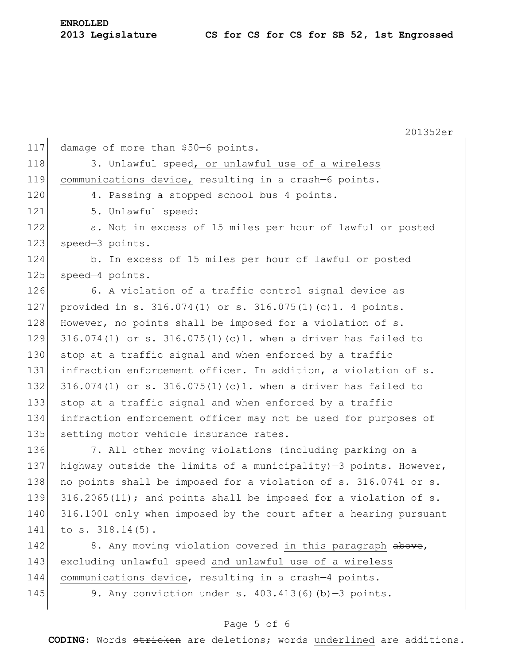| <b>ENROLLED</b> |                  |
|-----------------|------------------|
|                 | 2013 Legislature |

201352er 117 damage of more than \$50-6 points. 118 3. Unlawful speed, or unlawful use of a wireless 119 communications device, resulting in a crash—6 points. 120 4. Passing a stopped school bus-4 points. 121 5. Unlawful speed: 122 a. Not in excess of 15 miles per hour of lawful or posted 123 speed-3 points. 124 b. In excess of 15 miles per hour of lawful or posted 125 speed-4 points. 126 6. A violation of a traffic control signal device as 127 provided in s. 316.074(1) or s. 316.075(1)(c)1.—4 points. 128 However, no points shall be imposed for a violation of s. 129 316.074(1) or s. 316.075(1)(c)1. when a driver has failed to 130 stop at a traffic signal and when enforced by a traffic 131 infraction enforcement officer. In addition, a violation of s. 132 316.074(1) or s. 316.075(1)(c)1. when a driver has failed to 133 stop at a traffic signal and when enforced by a traffic 134 infraction enforcement officer may not be used for purposes of 135 setting motor vehicle insurance rates. 136 7. All other moving violations (including parking on a 137 highway outside the limits of a municipality) $-3$  points. However, 138 no points shall be imposed for a violation of s. 316.0741 or s. 139 316.2065(11); and points shall be imposed for a violation of s. 140 316.1001 only when imposed by the court after a hearing pursuant 141 to s. 318.14(5). 142 8. Any moving violation covered in this paragraph above, 143 excluding unlawful speed and unlawful use of a wireless 144 communications device, resulting in a crash—4 points. 145 9. Any conviction under s.  $403.413(6)(b)-3$  points.

### Page 5 of 6